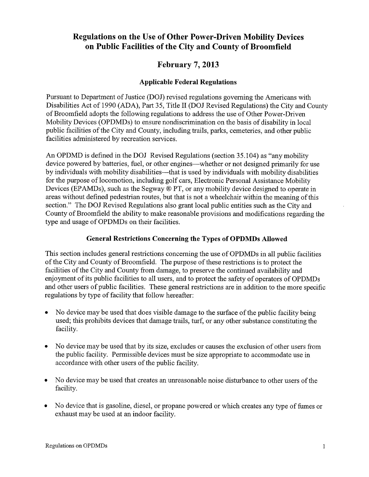# **Regulations on the Use of Other Power** -**Driven Mobility Devices on Public Facilities of the City and County of Broomfield**

# February 7, 2013

# Applicable **Federal Regulations**

Pursuant to Department of Justice (DOJ) revised regulations governing the Americans with Disabilities Act of 1990 (ADA), Part 35, Title II (DOJ Revised Regulations) the City and County of Broomfield adopts the following regulations to address the use of Other Power-Driven Mobility Devices (OPDMDs) to ensure nondiscrimination on the basis of disability in local public facilities of the City and County, including trails, parks, cemeteries, and other public facilities administered by recreation services.

An OPDMD is defined in the DOJ Revised Regulations (section 35.104) as "any mobility device powered by batteries, fuel, or other engines—whether or not designed primarily for use by individuals with mobility disabilities—that is used by individuals with mobility disabilities for the purpose of locomotion, including golf cars, Electronic Personal Assistance Mobility Devices (EPAMDs), such as the Segway ® PT, or any mobility device designed to operate in areas without defined pedestrian routes, but that is not a wheelchair within the meaning of this section." The DOJ Revised Regulations also grant local public entities such as the City and County of Broomfield the ability to make reasonable provisions and modifications regarding the type and usage of OPDMDs on their facilities.

#### **General Restrictions** Concerning the Types of OPDMDs Allowed

This section includes general restrictions concerning the use of OPDMDs in all public facilities of the City and County of Broomfield. The purpose of these restrictions is to protect the facilities of the City and County from damage, to preserve the continued availability and enjoyment of its public facilities to all users, and to protect the safety of operators of OPDMDs and other users of public facilities. These general restrictions are in addition to the more specific regulations by type of facility that follow hereafter:

- No device may be used that does visible damage to the surface of the public facility being used; this prohibits devices that damage trails, turf, or any other substance constituting the facility.
- No device may be used that by its size, excludes or causes the exclusion of other users from the public facility. Permissible devices must be size appropriate to accommodate use in accordance with other users of the public facility.
- No device may be used that creates an unreasonable noise disturbance to other users of the facility.
- No device that is gasoline, diesel, or propane powered or which creates any type of fumes or exhaust may be used at an indoor facility.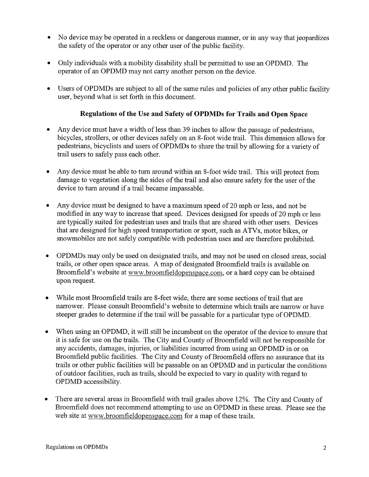- No device may be operated in a reckless or dangerous manner, or in any way that jeopardizes the safety of the operator or any other user of the public facility.
- Only individuals with a mobility disability shall be permitted to use an OPDMD. The operator of an OPDMD may not carry another person on the device.
- Users of OPDMDs **are subject** to all of the **same rules and policies** of any other public facility **user,** beyond what **is set** forth in this **document.**

#### **Regulations of the Use and Safety of OPDMDs for Trails and Open Space**

- Any device must have a width of less than 39 inches to allow the passage of pedestrians, bicycles, strollers, or other devices safely on an 8-foot wide trail. This dimension allows for pedestrians, bicyclists and users of OPDMDs to share the trail by allowing for a variety of **trail users** to safely pass each other.
- Any device must be able to turn around within an 8-foot wide trail. This will protect from damage to vegetation along the sides of the trail and also ensure safety for the user of the device to turn around if a trail became impassable.
- Any device must be designed to have a maximum speed of 20 mph or less, and not be modified in any way to increase that speed. Devices designed for speeds of 20 mph or less are typically suited for pedestrian uses and trails that are shared with other users. Devices that are designed for high speed transportation or sport, such as ATVs, motor bikes, or snowmobiles are not safely compatible with pedestrian uses and are therefore prohibited.
- OPDMDs may only be used on designated trails, and may not be used on closed areas, social trails, or other open space areas. A map of designated Broomfield trails is available on Broomfield's website at www.broomfieldopenspace.com, or a hard copy can be obtained upon request.
- While most Broomfield trails are 8-feet wide, there are some sections of trail that are narrower. Please consult Broomfield's website to determine which trails are narrow or have steeper grades to determine if the trail will be passable for a particular type of OPDMD.
- When using an OPDMD, it will still be incumbent on the operator of the device to ensure that it is safe for use on the trails. The City and County of Broomfield will not be responsible for any accidents, damages, injuries, or liabilities incurred from using an OPDMD in or on Broomfield public facilities. The City and County of Broomfield offers no assurance that its trails or other public facilities will be passable on an OPDMD and in particular the conditions of outdoor facilities, such as trails, should be expected to vary in quality with regard to OPDMD accessibility.
- There are several areas in Broomfield with trail grades above 12%. The City and County of Broomfield does not recommend attempting to use an OPDMD in these areas. Please see the web site at www.broomfieldopenspace.com for a map of these trails.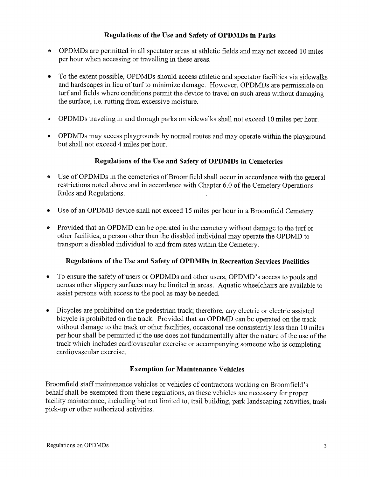## **Regulations of the Use and Safety of OPDMDs in Parks**

- e OPDMDs are permitted in all spectator areas at athletic fields and may not exceed 10 miles per hour when accessing or travelling in these areas.
- To the extent possible, OPDMDs should access athletic and spectator facilities via sidewalks and hardscapes in lieu of turf to minimize damage. However, OPDMDs are permissible on turf and fields where conditions permit the device to travel on such areas without damaging the surface, i.e. rutting from excessive moisture.
- OPDMDs traveling in and through parks on sidewalks shall not exceed 10 miles per hour.
- OPDMDs may access playgrounds by normal routes and may operate within the playground but shall not exceed 4 miles per hour.

## **Regulations of the Use and Safety of OPDMDs in Cemeteries**

- Use of OPDMDs in the cemeteries of Broomfield shall occur in accordance with the general restrictions noted above and in accordance with Chapter 6.0 of the Cemetery Operations Rules and Regulations.
- Use of an OPDMD device shall not exceed 15 miles per hour in a Broomfield Cemetery.
- Provided that an OPDMD can be operated in the cemetery without damage to the turf or other facilities, a person other than the disabled individual may operate the OPDMD to transport a disabled individual to and from sites within the Cemetery.

## **Regulations** of the Use and Safety of OPDMDs **in Recreation** Services Facilities

- To ensure the safety of users or OPDMDs and other users, OPDMD's access to pools and across other slippery surfaces may be limited in areas. Aquatic wheelchairs are available to assist persons with access to the pool as may be needed.
- Bicycles are prohibited on the pedestrian track; therefore, any electric or electric assisted bicycle is prohibited on the track. Provided that an OPDMD can be operated on the track without damage to the track or other facilities, occasional use consistently less than 10 miles per hour shall be permitted if the use does not fundamentally alter the nature of the use of the track which includes cardiovascular exercise or accompanying someone who is completing cardiovascular exercise.

## **Exemption for Maintenance Vehicles**

Broomfield staff maintenance vehicles or vehicles of contractors working on Broomfield's behalf shall be exempted from these regulations, as these vehicles are necessary for proper facility maintenance, including but not limited to, trail building, park landscaping activities, trash pick-up or other authorized activities.